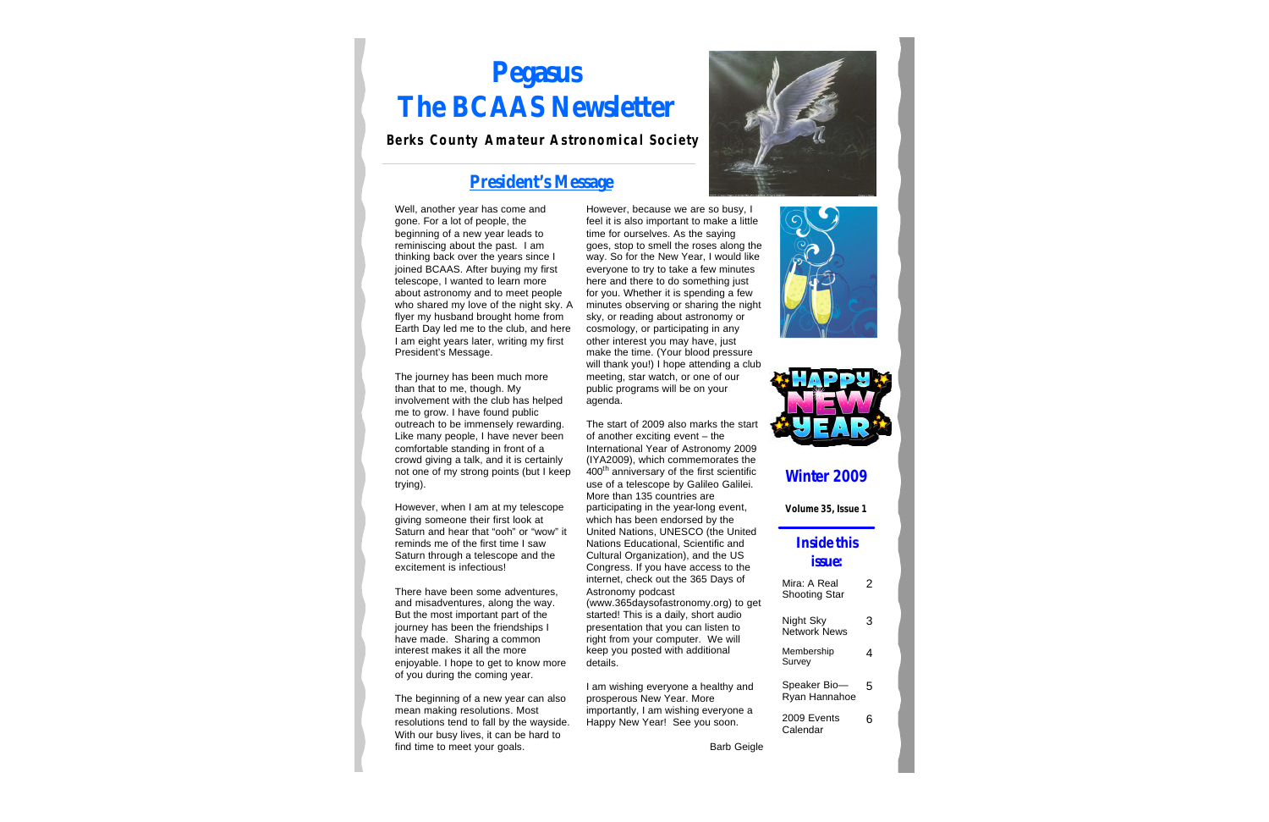# **Pegasus The BCAAS Newsletter**

#### **Berks County Amateur Astronomical Society**

### **President's Message**

Well, another year has come and gone. For a lot of people, the beginning of a new year leads to reminiscing about the past. I am thinking back over the years since I joined BCAAS. After buying my first telescope, I wanted to learn more about astronomy and to meet people who shared my love of the night sky. A flyer my husband brought home from Earth Day led me to the club, and here I am eight years later, writing my first President's Message.

The journey has been much more than that to me, though. My involvement with the club has helped me to grow. I have found public outreach to be immensely rewarding. Like many people, I have never been comfortable standing in front of a crowd giving a talk, and it is certainly not one of my strong points (but I keep trying).

However, when I am at my telescope giving someone their first look at Saturn and hear that "ooh" or "wow" it reminds me of the first time I saw Saturn through a telescope and the excitement is infectious!

There have been some adventures, and misadventures, along the way. But the most important part of the journey has been the friendships I have made. Sharing a common interest makes it all the more enjoyable. I hope to get to know more of you during the coming year.

The beginning of a new year can also mean making resolutions. Most resolutions tend to fall by the wayside. With our busy lives, it can be hard to find time to meet your goals.

However, because we are so busy, I feel it is also important to make a little time for ourselves. As the saying goes, stop to smell the roses along the way. So for the New Year, I would like everyone to try to take a few minutes here and there to do something just for you. Whether it is spending a few minutes observing or sharing the night sky, or reading about astronomy or cosmology, or participating in any other interest you may have, just make the time. (Your blood pressure will thank you!) I hope attending a club meeting, star watch, or one of our public programs will be on your agenda.

The start of 2009 also marks the start of another exciting event – the International Year of Astronomy 2009 (IYA2009), which commemorates the 400th anniversary of the first scientific use of a telescope by Galileo Galilei. More than 135 countries are participating in the year-long event, which has been endorsed by the United Nations, UNESCO (the United Nations Educational, Scientific and Cultural Organization), and the US Congress. If you have access to the internet, check out the 365 Days of Astronomy podcast (www.365daysofastronomy.org) to get started! This is a daily, short audio presentation that you can listen to right from your computer. We will keep you posted with additional details.

I am wishing everyone a healthy and prosperous New Year. More importantly, I am wishing everyone a Happy New Year! See you soon.







#### **Winter 2009**

**Volume 35, Issue 1**

#### **Inside this issue:**

| Mira: A Real<br><b>Shooting Star</b> |   |
|--------------------------------------|---|
| Night Sky<br><b>Network News</b>     | З |
| Membership<br>Survey                 | 4 |
| Speaker Bio-<br>Ryan Hannahoe        | 5 |
| 2009 Events<br>Calendar              |   |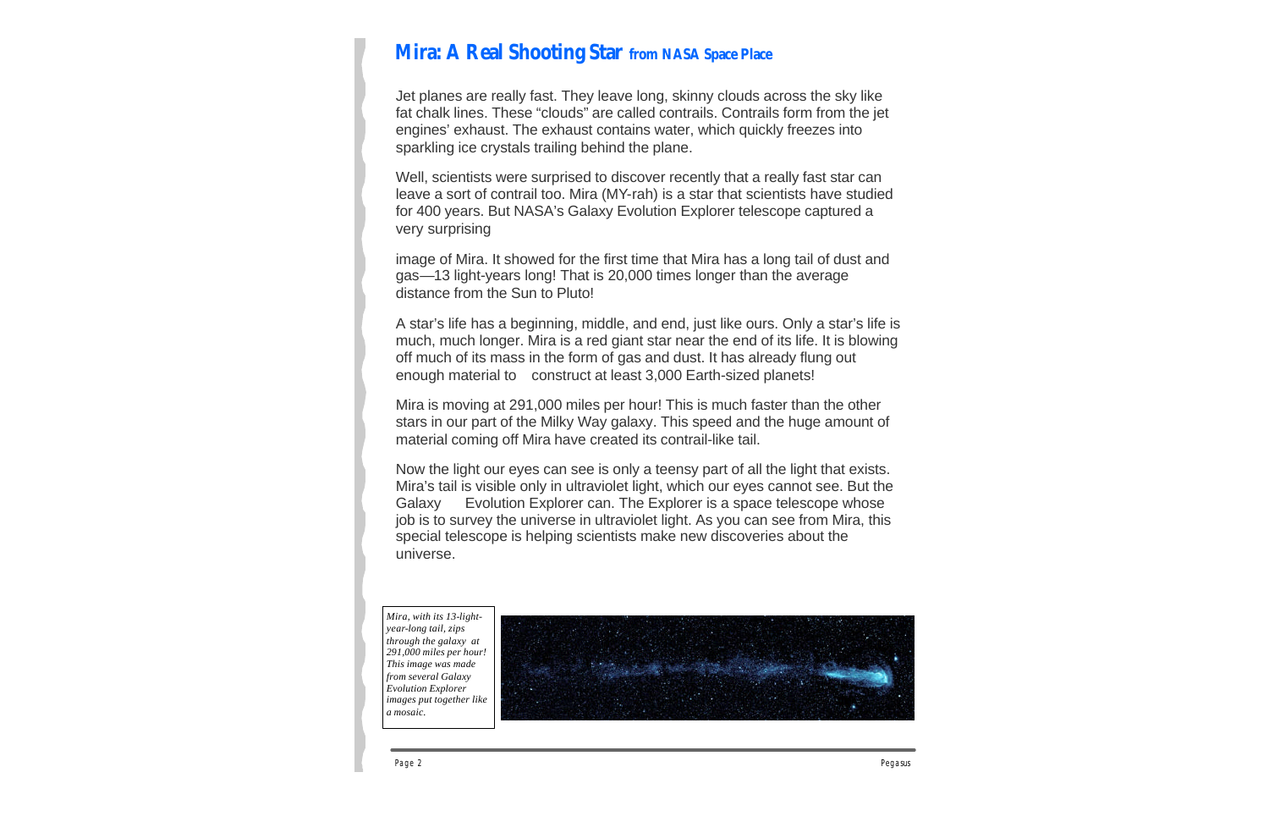### **Mira: A Real Shooting Star from NASA Space Place**

Jet planes are really fast. They leave long, skinny clouds across the sky like fat chalk lines. These "clouds" are called contrails. Contrails form from the jet engines' exhaust. The exhaust contains water, which quickly freezes into sparkling ice crystals trailing behind the plane.

Well, scientists were surprised to discover recently that a really fast star can leave a sort of contrail too. Mira (MY-rah) is a star that scientists have studied for 400 years. But NASA's Galaxy Evolution Explorer telescope captured a very surprising

image of Mira. It showed for the first time that Mira has a long tail of dust and gas—13 light-years long! That is 20,000 times longer than the average distance from the Sun to Pluto!

A star's life has a beginning, middle, and end, just like ours. Only a star's life is much, much longer. Mira is a red giant star near the end of its life. It is blowing off much of its mass in the form of gas and dust. It has already flung out enough material to construct at least 3,000 Earth-sized planets!

Mira is moving at 291,000 miles per hour! This is much faster than the other stars in our part of the Milky Way galaxy. This speed and the huge amount of material coming off Mira have created its contrail-like tail.

Now the light our eyes can see is only a teensy part of all the light that exists. Mira's tail is visible only in ultraviolet light, which our eyes cannot see. But the Galaxy Evolution Explorer can. The Explorer is a space telescope whose job is to survey the universe in ultraviolet light. As you can see from Mira, this special telescope is helping scientists make new discoveries about the universe.

*Mira, with its 13-lightyear-long tail, zips through the galaxy at 291,000 miles per hour! This image was made from several Galaxy Evolution Explorer images put together like a mosaic.*

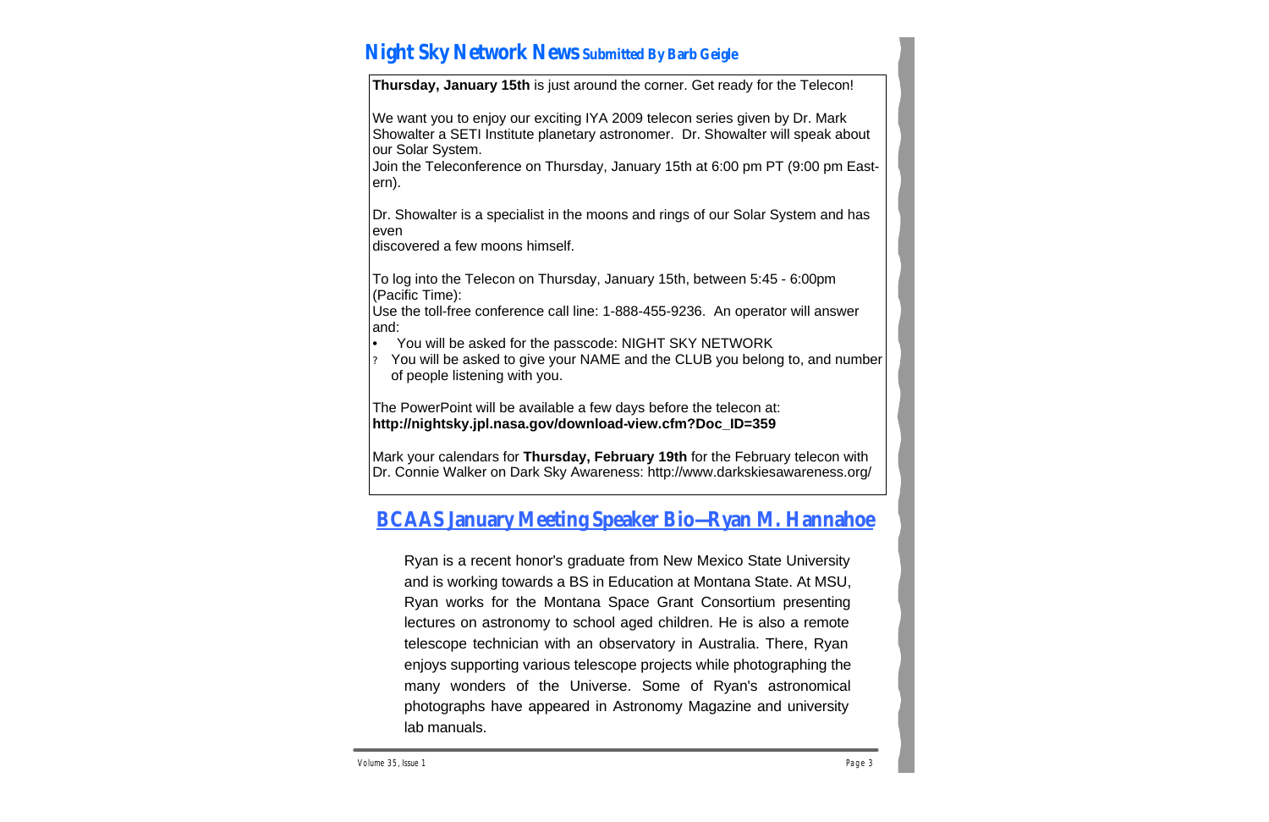# **Night Sky Network News Submitted By Barb Geigle**

**Thursday, January 15th** is just around the corner. Get ready for the Telecon!

We want you to enjoy our exciting IYA 2009 telecon series given by Dr. Mark Showalter a SETI Institute planetary astronomer. Dr. Showalter will speak about our Solar System.

Join the Teleconference on Thursday, January 15th at 6:00 pm PT (9:00 pm Eastern).

Dr. Showalter is a specialist in the moons and rings of our Solar System and has even

discovered a few moons himself.

To log into the Telecon on Thursday, January 15th, between 5:45 - 6:00pm (Pacific Time):

Use the toll-free conference call line: 1-888-455-9236. An operator will answer and:

- You will be asked for the passcode: NIGHT SKY NETWORK
- ? You will be asked to give your NAME and the CLUB you belong to, and number of people listening with you.

The PowerPoint will be available a few days before the telecon at: **http://nightsky.jpl.nasa.gov/download-view.cfm?Doc\_ID=359**

Mark your calendars for **Thursday, February 19th** for the February telecon with Dr. Connie Walker on Dark Sky Awareness: http://www.darkskiesawareness.org/

# **BCAAS January Meeting Speaker Bio—Ryan M. Hannahoe**

Ryan is a recent honor's graduate from New Mexico State University and is working towards a BS in Education at Montana State. At MSU, Ryan works for the Montana Space Grant Consortium presenting lectures on astronomy to school aged children. He is also a remote telescope technician with an observatory in Australia. There, Ryan enjoys supporting various telescope projects while photographing the many wonders of the Universe. Some of Ryan's astronomical photographs have appeared in Astronomy Magazine and university lab manuals.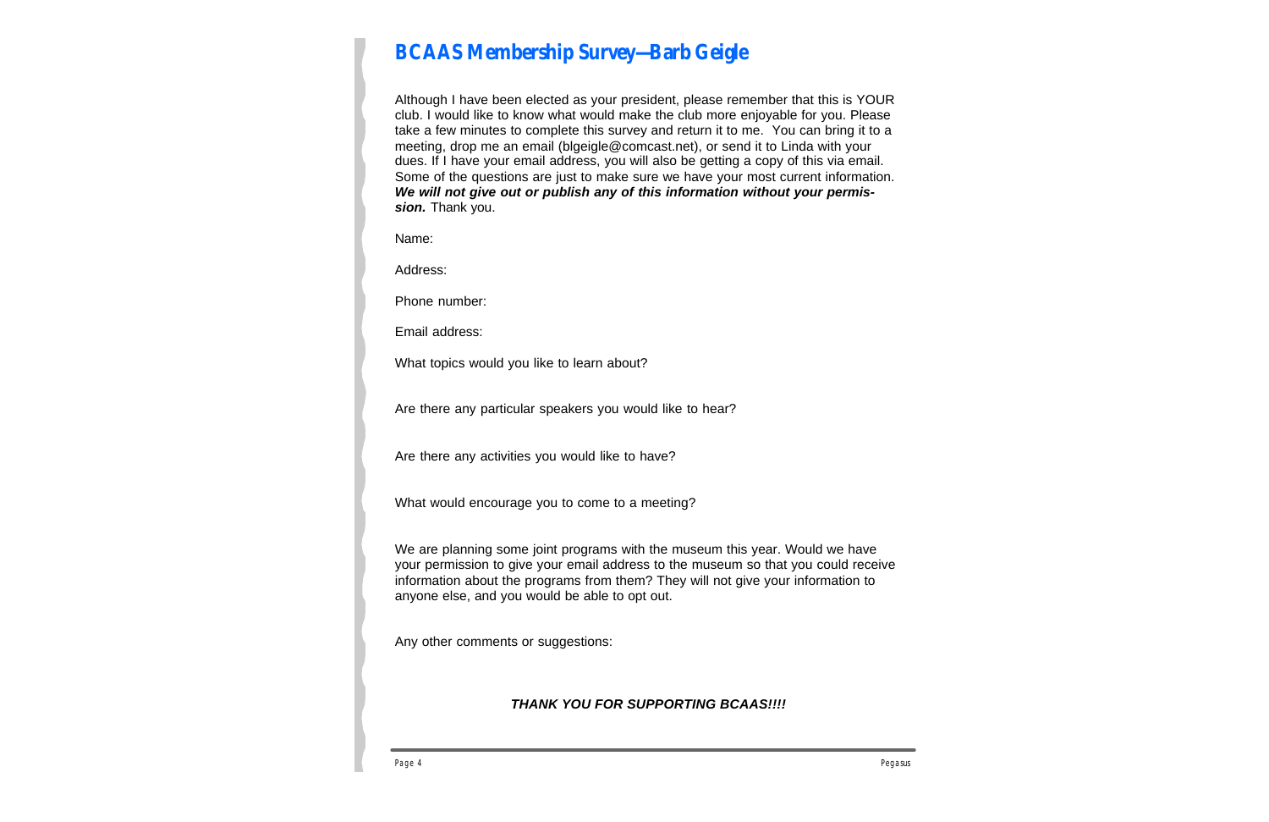# **BCAAS Membership Survey—Barb Geigle**

Although I have been elected as your president, please remember that this is YOUR club. I would like to know what would make the club more enjoyable for you. Please take a few minutes to complete this survey and return it to me. You can bring it to a meeting, drop me an email (blgeigle@comcast.net), or send it to Linda with your dues. If I have your email address, you will also be getting a copy of this via email. Some of the questions are just to make sure we have your most current information. *We will not give out or publish any of this information without your permission.* Thank you.

Name:

Address:

Phone number:

Email address:

What topics would you like to learn about?

Are there any particular speakers you would like to hear?

Are there any activities you would like to have?

What would encourage you to come to a meeting?

We are planning some joint programs with the museum this year. Would we have your permission to give your email address to the museum so that you could receive information about the programs from them? They will not give your information to anyone else, and you would be able to opt out.

Any other comments or suggestions:

#### *THANK YOU FOR SUPPORTING BCAAS!!!!*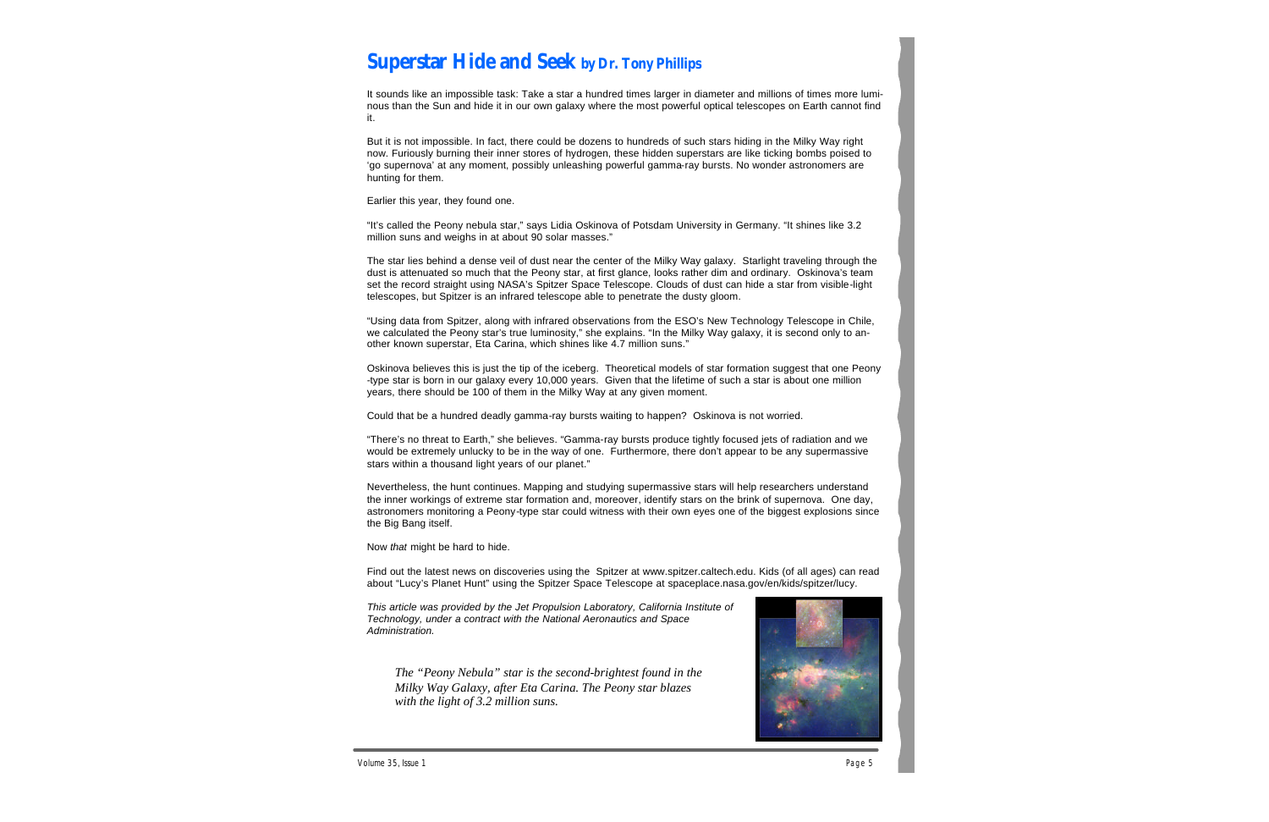### **Superstar Hide and Seek by Dr. Tony Phillips**

It sounds like an impossible task: Take a star a hundred times larger in diameter and millions of times more luminous than the Sun and hide it in our own galaxy where the most powerful optical telescopes on Earth cannot find it.

But it is not impossible. In fact, there could be dozens to hundreds of such stars hiding in the Milky Way right now. Furiously burning their inner stores of hydrogen, these hidden superstars are like ticking bombs poised to 'go supernova' at any moment, possibly unleashing powerful gamma-ray bursts. No wonder astronomers are hunting for them.

Earlier this year, they found one.

"It's called the Peony nebula star," says Lidia Oskinova of Potsdam University in Germany. "It shines like 3.2 million suns and weighs in at about 90 solar masses."

The star lies behind a dense veil of dust near the center of the Milky Way galaxy. Starlight traveling through the dust is attenuated so much that the Peony star, at first glance, looks rather dim and ordinary. Oskinova's team set the record straight using NASA's Spitzer Space Telescope. Clouds of dust can hide a star from visible-light telescopes, but Spitzer is an infrared telescope able to penetrate the dusty gloom.

"Using data from Spitzer, along with infrared observations from the ESO's New Technology Telescope in Chile, we calculated the Peony star's true luminosity," she explains. "In the Milky Way galaxy, it is second only to another known superstar, Eta Carina, which shines like 4.7 million suns."

Oskinova believes this is just the tip of the iceberg. Theoretical models of star formation suggest that one Peony -type star is born in our galaxy every 10,000 years. Given that the lifetime of such a star is about one million years, there should be 100 of them in the Milky Way at any given moment.

Could that be a hundred deadly gamma-ray bursts waiting to happen? Oskinova is not worried.

"There's no threat to Earth," she believes. "Gamma-ray bursts produce tightly focused jets of radiation and we would be extremely unlucky to be in the way of one. Furthermore, there don't appear to be any supermassive stars within a thousand light years of our planet."

Nevertheless, the hunt continues. Mapping and studying supermassive stars will help researchers understand the inner workings of extreme star formation and, moreover, identify stars on the brink of supernova. One day, astronomers monitoring a Peony-type star could witness with their own eyes one of the biggest explosions since the Big Bang itself.

Now *that* might be hard to hide.

Find out the latest news on discoveries using the Spitzer at www.spitzer.caltech.edu. Kids (of all ages) can read about "Lucy's Planet Hunt" using the Spitzer Space Telescope at spaceplace.nasa.gov/en/kids/spitzer/lucy.

*This article was provided by the Jet Propulsion Laboratory, California Institute of Technology, under a contract with the National Aeronautics and Space Administration.*

*The "Peony Nebula" star is the second-brightest found in the Milky Way Galaxy, after Eta Carina. The Peony star blazes with the light of 3.2 million suns.*